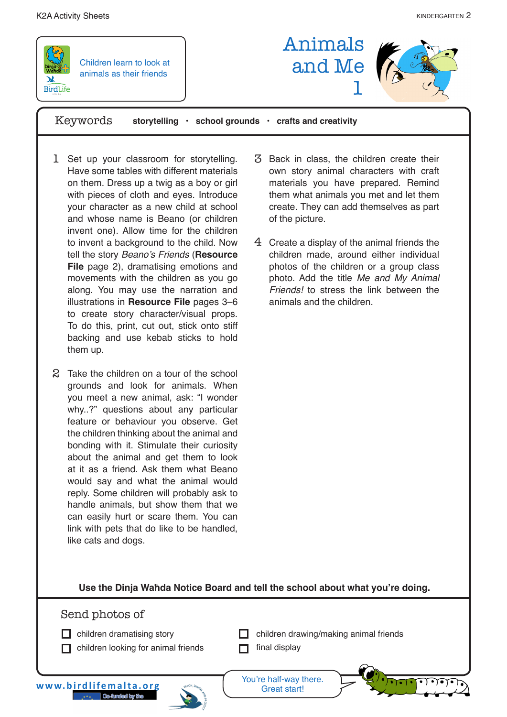

Children learn to look at animals as their friends

Animals and Me 1



Keywords **storytelling • school grounds • crafts and creativity**

- 1 Set up your classroom for storytelling. Have some tables with different materials on them. Dress up a twig as a boy or girl with pieces of cloth and eyes. Introduce your character as a new child at school and whose name is Beano (or children invent one). Allow time for the children to invent a background to the child. Now tell the story Beano's Friends (**Resource File** page 2), dramatising emotions and movements with the children as you go along. You may use the narration and illustrations in **Resource File** pages 3–6 to create story character/visual props. To do this, print, cut out, stick onto stiff backing and use kebab sticks to hold them up.
- 2 Take the children on a tour of the school grounds and look for animals. When you meet a new animal, ask: "I wonder why..?" questions about any particular feature or behaviour you observe. Get the children thinking about the animal and bonding with it. Stimulate their curiosity about the animal and get them to look at it as a friend. Ask them what Beano would say and what the animal would reply. Some children will probably ask to handle animals, but show them that we can easily hurt or scare them. You can link with pets that do like to be handled, like cats and dogs.
- Back in class, the children create their 3 own story animal characters with craft materials you have prepared. Remind them what animals you met and let them create. They can add themselves as part of the picture.
- $4$  Create a display of the animal friends the children made, around either individual photos of the children or a group class photo. Add the title Me and My Animal Friends! to stress the link between the animals and the children.

**Use the Dinja Waħda Notice Board and tell the school about what you're doing.** 

## Send photos of

- $\Box$  children dramatising story
- $\Box$  children looking for animal friends
- $\Box$  children drawing/making animal friends
- $\Box$  final display

**www.birdlifemalta.org**



You're half-way there. Great start!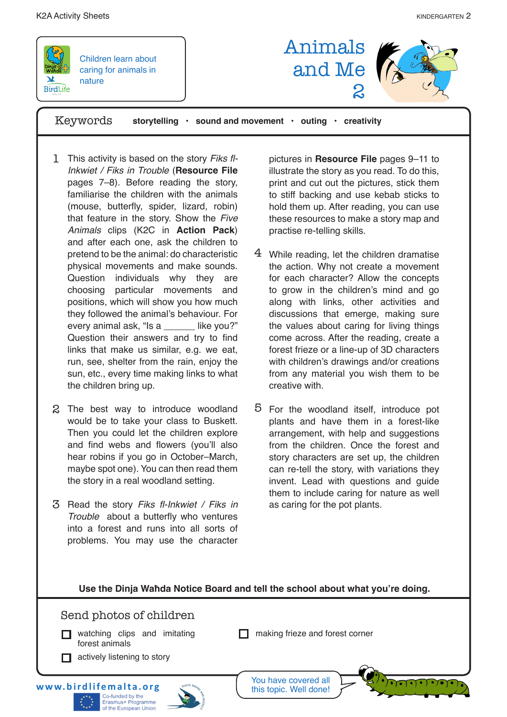



Children learn about caring for animals in nature

Keywords **storytelling • sound and movement • outing • creativity**

- 1 This activity is based on the story Fiks fl-Inkwiet / Fiks in Trouble (**Resource File**  pages 7–8). Before reading the story, familiarise the children with the animals (mouse, butterfly, spider, lizard, robin) that feature in the story. Show the Five Animals clips (K2C in **Action Pack**) and after each one, ask the children to pretend to be the animal: do characteristic physical movements and make sounds. Question individuals why they are choosing particular movements and positions, which will show you how much they followed the animal's behaviour. For every animal ask, "Is a \_\_\_\_\_\_ like you?" Question their answers and try to find links that make us similar, e.g. we eat, run, see, shelter from the rain, enjoy the sun, etc., every time making links to what the children bring up.
- 2 The best way to introduce woodland would be to take your class to Buskett. Then you could let the children explore and find webs and flowers (you'll also hear robins if you go in October–March, maybe spot one). You can then read them the story in a real woodland setting.
- 3 Read the story Fiks fl-Inkwiet / Fiks in Trouble about a butterfly who ventures into a forest and runs into all sorts of problems. You may use the character

pictures in **Resource File** pages 9–11 to illustrate the story as you read. To do this, print and cut out the pictures, stick them to stiff backing and use kebab sticks to hold them up. After reading, you can use these resources to make a story map and practise re-telling skills.

2

Animals

and Me

- 4 While reading, let the children dramatise the action. Why not create a movement for each character? Allow the concepts to grow in the children's mind and go along with links, other activities and discussions that emerge, making sure the values about caring for living things come across. After the reading, create a forest frieze or a line-up of 3D characters with children's drawings and/or creations from any material you wish them to be creative with.
- For the woodland itself, introduce pot 5 plants and have them in a forest-like arrangement, with help and suggestions from the children. Once the forest and story characters are set up, the children can re-tell the story, with variations they invent. Lead with questions and guide them to include caring for nature as well as caring for the pot plants.